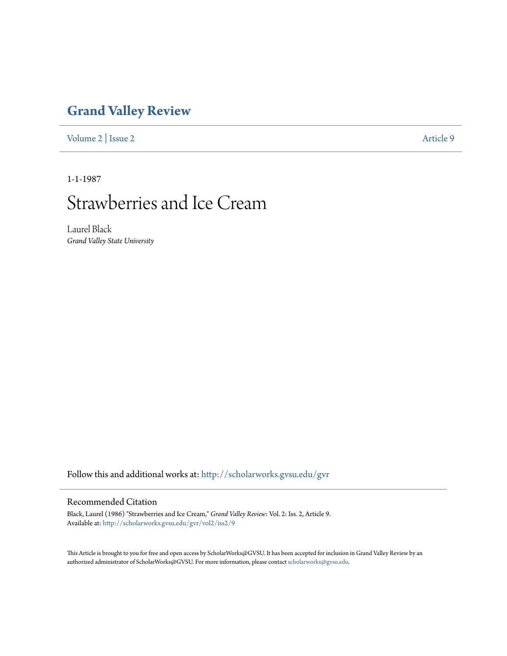## **[Grand Valley Review](http://scholarworks.gvsu.edu/gvr?utm_source=scholarworks.gvsu.edu%2Fgvr%2Fvol2%2Fiss2%2F9&utm_medium=PDF&utm_campaign=PDFCoverPages)**

[Volume 2](http://scholarworks.gvsu.edu/gvr/vol2?utm_source=scholarworks.gvsu.edu%2Fgvr%2Fvol2%2Fiss2%2F9&utm_medium=PDF&utm_campaign=PDFCoverPages) | [Issue 2](http://scholarworks.gvsu.edu/gvr/vol2/iss2?utm_source=scholarworks.gvsu.edu%2Fgvr%2Fvol2%2Fiss2%2F9&utm_medium=PDF&utm_campaign=PDFCoverPages) [Article 9](http://scholarworks.gvsu.edu/gvr/vol2/iss2/9?utm_source=scholarworks.gvsu.edu%2Fgvr%2Fvol2%2Fiss2%2F9&utm_medium=PDF&utm_campaign=PDFCoverPages)

1-1-1987

## Strawberries and Ice Cream

Laurel Black *Grand Valley State University*

Follow this and additional works at: [http://scholarworks.gvsu.edu/gvr](http://scholarworks.gvsu.edu/gvr?utm_source=scholarworks.gvsu.edu%2Fgvr%2Fvol2%2Fiss2%2F9&utm_medium=PDF&utm_campaign=PDFCoverPages)

## Recommended Citation

Black, Laurel (1986) "Strawberries and Ice Cream," *Grand Valley Review*: Vol. 2: Iss. 2, Article 9. Available at: [http://scholarworks.gvsu.edu/gvr/vol2/iss2/9](http://scholarworks.gvsu.edu/gvr/vol2/iss2/9?utm_source=scholarworks.gvsu.edu%2Fgvr%2Fvol2%2Fiss2%2F9&utm_medium=PDF&utm_campaign=PDFCoverPages)

This Article is brought to you for free and open access by ScholarWorks@GVSU. It has been accepted for inclusion in Grand Valley Review by an authorized administrator of ScholarWorks@GVSU. For more information, please contact [scholarworks@gvsu.edu.](mailto:scholarworks@gvsu.edu)